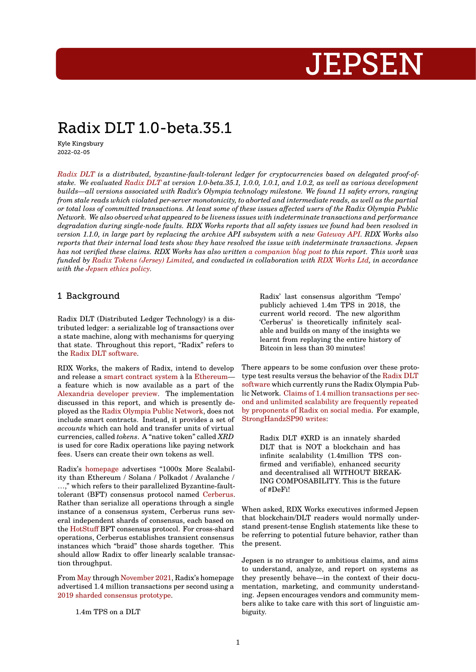# **JEPSEN**

# Radix DLT 1.0-beta.35.1

Kyle Kingsbury 2022-02-05

*Radix DLT is a distributed, byzantine-fault-tolerant ledger for cryptocurrencies based on delegated proof-ofstake. We evaluated Radix DLT at version 1.0-beta.35.1, 1.0.0, 1.0.1, and 1.0.2, as well as various development builds—all versions associated with Radix's Olympia technology milestone. We found 11 safety errors, ranging from stale reads which violated per-server monotonicity, to aborted and intermediate reads, as well as the partial or total loss of committed transactions. At least some of these issues affected users of the Radix Olympia Public [Network. W](https://radixdlt.com/)e also observed what appeared to be liveness issues with indeterminate transactions and performance degradation during [single-node](https://github.com/radixdlt/radixdlt) faults. RDX Works reports that all safety issues we found had been resolved in version 1.1.0, in large part by replacing the archive API subsystem with a new Gateway API. RDX Works also reports that their internal load tests show they have resolved the issue with indeterminate transactions. Jepsen has not verified these claims. RDX Works has also written a companion blog post to this report. This work was funded by Radix Tokens (Jersey) Limited, and conducted in collaboration with RDX Works Ltd, in accordance with the Jepsen ethics policy.*

# 1 Back[ground](https://radixdlt.com)

Radix DLT (Distributed Ledger Technology) is a distributed ledger: a serializable log of transactions over a state machine, along with mechanisms for querying that state. Throughout this report, "Radix" refers to the Radix DLT software.

RDX Works, the makers of Radix, intend to develop and release a smart contract system à la Ethereum a feature which is now available as a part of the Ale[xandria developer pr](https://github.com/radixdlt)eview. The implementation discussed in this report, and which is presently deployed as the Radix Olympia Public Network, does not include smart [contracts. Instead, it](https://assets.website-files.com/6053f7fca5bf627283b582c2/60870dd57116a30d877abe57_DeFi-Whitepaper-v1.0-3.pdf) prov[ides a set](https://ethereum.org/en/developers/docs/smart-contracts/) of *accounts* which can hold and transfer units of virtual [currencies, called](https://www.radixdlt.com/post/alexandria-scrypto-is-here) *tokens*. A "native token" called *XRD* is used for core Radix operations like paying network fees. Users c[an create their own tokens as w](https://www.radixdlt.com/post/radix-olympia-mainnet-is-here)ell.

Radix's homepage advertises "1000x More Scalability than Ethereum / Solana / Polkadot / Avalanche / …," which refers to their parallelized Byzantine-faulttolerant (BFT) consensus protocol named Cerberus. Rather than serialize all operations through a single instance [of a cons](https://www.radixdlt.com/post/replaying-bitcoin)ensus system, Cerberus runs several independent shards of consensus, each based on the HotStuff BFT consensus protocol. For cross-shard operations, Cerberus establishes transient [consensus](https://assets.website-files.com/6053f7fca5bf627283b582c2/608811e3f5d21f235392fee1_Cerberus-Whitepaper-v1.01.pdf) instances which "braid" those shards together. This should allow Radix to offer linearly scalable transactio[n through](https://arxiv.org/abs/1803.05069)put.

From May through November 2021, Radix's homepage advertised 1.4 million transactions per second using a 2019 sharded consensus prototype.

[1.4m](https://web.archive.org/web/20210526053236/https://www.radixdlt.com/) TPS on [a DLT](https://web.archive.org/web/20211124083358/https://www.radixdlt.com/)

[Radix' last cons](https://www.radixdlt.com/post/radix-olympia-tested-by-jepsen)[ensus algorithm](https://www.radixdlt.com/post/welcome-to-rdx-works) 'Tempo' publicly achieved 1.4m TPS in 2018, the current world record. The new algorithm 'Cerberus' is theoretically infinitely scalable and builds on many of the insights we learnt from replaying the entire history of Bitcoin in less than 30 minutes!

There appears to be some confusion over these prototype test results versus the behavior of the Radix DLT software which currently runs the Radix Olympia Public Network. Claims of 1.4 million transactions per second and unlimited scalability are frequently repeated by proponents of Radix on social media. F[or example,](https://github.com/radixdlt/radixdlt) [StrongHa](https://github.com/radixdlt/radixdlt)ndzSP90 writes:

[Ra](https://twitter.com/Inspectr_Crypto/status/1464835564834799616)[dix DLT #](https://twitter.com/fatcookiesss/status/1460557224925806598)[XRD is an](https://twitter.com/a_vaunt/status/1452353781098815501) [inn](https://twitter.com/thingdodo/status/1451164578109296642)[ately shar](https://twitter.com/Radix_SC/status/1424598725394145284)[ded](https://twitter.com/RadBullXRD/status/1365006228200574979) [DLT tha](https://twitter.com/CptCharles_/status/1452305256994557962)[t i](https://twitter.com/migdsb/status/1351264242498998272)[s NOT](https://twitter.com/JaMie___17/status/1343274435822944259) [a](https://twitter.com/CryptoAffray/status/1480116633620430851) [block](https://twitter.com/PatriotBlok/status/1324677857893736450)[chain](https://www.reddit.com/r/Radix/comments/qrx1p3/fastest_network_ever_demonstrated/) and has [infinite scalability](https://twitter.com/StrongHandzSP90/status/1458388957268520960) (1.4million TPS confirmed and verifiable), enhanced security and decentralised all WITHOUT BREAK-ING COMPOSABILITY. This is the future of #DeFi!

When asked, RDX Works executives informed Jepsen that blockchain/DLT readers would normally understand present-tense English statements like these to be referring to potential future behavior, rather than the present.

Jepsen is no stranger to ambitious claims, and aims to understand, analyze, and report on systems as they presently behave—in the context of their documentation, marketing, and community understanding. Jepsen encourages vendors and community members alike to take care with this sort of linguistic ambiguity.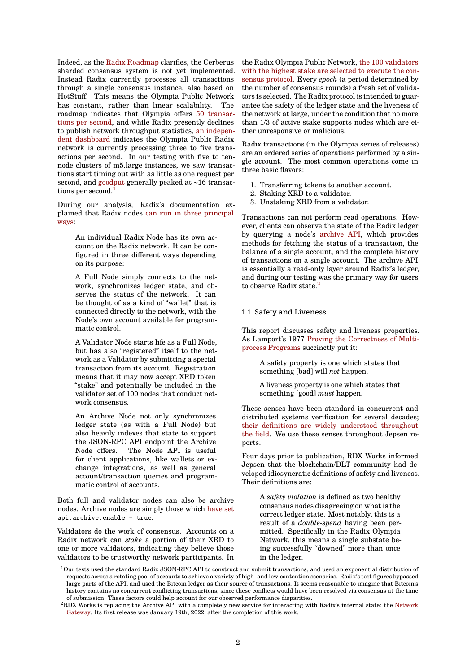Indeed, as the Radix Roadmap clarifies, the Cerberus sharded consensus system is not yet implemented. Instead Radix currently processes all transactions through a single consensus instance, also based on HotStuff. This means the Olympia Public Network has constant, [rather than lin](https://www.radixdlt.com/#radix-roadmap)ear scalability. The roadmap indicates that Olympia offers 50 transactions per second, and while Radix presently declines to publish network throughput statistics, an independent dashboard indicates the Olympia Public Radix network is currently processing three to five transactions per second. In our testing with [five to ten](https://web.archive.org/web/20211215023129/https://www.radixdlt.com/)[node clusters of](https://web.archive.org/web/20211215023129/https://www.radixdlt.com/) m5.large instances, we saw transac[tions start timin](https://www.radixscan.io/NetworkUtilization.shtml)g out with as little as one [request per](https://www.radixscan.io/NetworkUtilization.shtml) second, and goodput generally peaked at ~16 transactions per second.<sup>1</sup>

During our analysis, Radix's documentation explained tha[t Radix n](https://en.wikipedia.org/wiki/Goodput)odes can run in three principal ways:

> An individual Radix Node has its own account on the Radix network. It can be configured in three diff[erent ways depending](https://web.archive.org/web/20210613133702/https://docs.radixdlt.com/main/radix-nodes/introduction-to-radix-nodes.html) on its purpose:

> A Full Node simply connects to the network, synchronizes ledger state, and observes the status of the network. It can be thought of as a kind of "wallet" that is connected directly to the network, with the Node's own account available for programmatic control.

> A Validator Node starts life as a Full Node, but has also "registered" itself to the network as a Validator by submitting a special transaction from its account. Registration means that it may now accept XRD token "stake" and potentially be included in the validator set of 100 nodes that conduct network consensus.

> An Archive Node not only synchronizes ledger state (as with a Full Node) but also heavily indexes that state to support the JSON-RPC API endpoint the Archive Node offers. The Node API is useful for client applications, like wallets or exchange integrations, as well as general account/transaction queries and programmatic control of accounts.

Both full and validator nodes can also be archive nodes. Archive nodes are simply those which have set api.archive.enable = true.

Validators do the work of consensus. Accounts on a Radix network can *stake* a portion of their XRD to one or more validators, indicating they belie[ve those](https://github.com/jepsen-io/radix-dlt/blob/e599477376ea4b8a6b0c86368d28dc4efb447b8f/src/jepsen/radix_dlt/db.clj#L303) validators to be trustworthy network participants. In the Radix Olympia Public Network, the 100 validators with the highest stake are selected to execute the consensus protocol. Every *epoch* (a period determined by the number of consensus rounds) a fresh set of validators is selected. The Radix protocol is intended to guarantee the safety of the ledger state [and the liveness of](https://radixdlt.com/post/radix-staking-and-incentive-rewards-guide) [the network at large, under the condition that no more](https://radixdlt.com/post/radix-staking-and-incentive-rewards-guide) [than 1/3 of acti](https://radixdlt.com/post/radix-staking-and-incentive-rewards-guide)ve stake supports nodes which are either unresponsive or malicious.

Radix transactions (in the Olympia series of releases) are an ordered series of operations performed by a single account. The most common operations come in three basic flavors:

- 1. Transferring tokens to another account.
- 2. Staking XRD to a validator.
- 3. Unstaking XRD from a validator.

Transactions can not perform read operations. However, clients can observe the state of the Radix ledger by querying a node's archive API, which provides methods for fetching the status of a transaction, the balance of a single account, and the complete history of transactions on a single account. The archive API is essentially a read-only layer around Radix's ledger, and during our testing [was the prim](https://learn.radixdlt.com/article/whats-the-difference-between-a-full-node-validator-node-and-archive-node)ary way for users to observe Radix state.<sup>2</sup>

#### 1.1 Safety and Liveness

This report discusses safety and liveness properties. As Lamport's 1977 Proving the Correctness of Multiprocess Programs succinctly put it:

A safety property is one which states that something [bad] will *not* happen.

[A liveness pr](https://www.microsoft.com/en-us/research/publication/2016/12/Proving-the-Correctness-of-Multiprocess-Programs.pdf)o[perty is one which states that](https://www.microsoft.com/en-us/research/publication/2016/12/Proving-the-Correctness-of-Multiprocess-Programs.pdf) something [good] *must* happen.

These senses have been standard in concurrent and distributed systems verification for several decades; their definitions are widely understood throughout the field. We use these senses throughout Jepsen reports.

Four days prior to publication, RDX Works informed [Jepse](https://en.wikipedia.org/wiki/Liveness)[n that the](https://en.wikipedia.org/wiki/Safety_property) [bloc](https://www.oreilly.com/library/view/concurrency-state-models/9780470093559/ch07.html)[kchain/](https://will62794.github.io/formal-methods/2020/08/01/safety-and-liveness.html)[DLT commu](http://www.bailis.org/blog/safety-and-liveness-eventual-consistency-is-not-safe/)[nity had de](https://dl.acm.org/doi/10.1145/2767386.2767401)[velo](http://pi1.informatik.uni-mannheim.de/filepool/teaching/dependablesystems-2007/PDS_20070306.pdf)[ped i](https://www.cs.purdue.edu/homes/peugster/classes/CS505Spring09/4-Definitions.pdf)diosyncratic definitions of safety and liveness. Their definitions are:

A *safety violation* is defined as two healthy consensus nodes disagreeing on what is the correct ledger state. Most notably, this is a result of a *double-spend* having been permitted. Specifically in the Radix Olympia Network, this means a single substate being successfully "downed" more than once in the ledger.

 $1$ Our tests used the standard Radix JSON-RPC API to construct and submit transactions, and used an exponential distribution of requests across a rotating pool of accounts to achieve a variety of high- and low-contention scenarios. Radix's test figures bypassed large parts of the API, and used the Bitcoin ledger as their source of transactions. It seems reasonable to imagine that Bitcoin's history contains no concurrent conflicting transactions, since these conflicts would have been resolved via consensus at the time of submission. These factors could help account for our observed performance disparities.

 $2$ RDX Works is replacing the Archive API with a completely new service for interacting with Radix's internal state: the Network Gateway. Its first release was January 19th, 2022, after the completion of this work.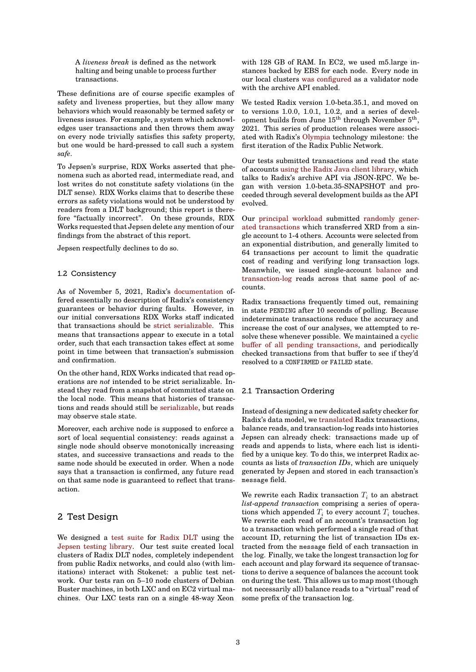A *liveness break* is defined as the network halting and being unable to process further transactions.

These definitions are of course specific examples of safety and liveness properties, but they allow many behaviors which would reasonably be termed safety or liveness issues. For example, a system which acknowledges user transactions and then throws them away on every node trivially satisfies this safety property, but one would be hard-pressed to call such a system *safe*.

To Jepsen's surprise, RDX Works asserted that phenomena such as aborted read, intermediate read, and lost writes do not constitute safety violations (in the DLT sense). RDX Works claims that to describe these errors as safety violations would not be understood by readers from a DLT background; this report is therefore "factually incorrect". On these grounds, RDX Works requested that Jepsen delete any mention of our findings from the abstract of this report.

Jepsen respectfully declines to do so.

#### 1.2 Consistency

As of November 5, 2021, Radix's documentation offered essentially no description of Radix's consistency guarantees or behavior during faults. However, in our initial conversations RDX Works staff indicated that transactions should be strict serializable. This means that transactions appear to [execute in a to](https://docs.radixdlt.com/main/)tal order, such that each transaction takes effect at some point in time between that transaction's submission and confirmation.

On the other hand, RDX Wor[ks indicated that re](https://jepsen.io/consistency/models/strict-serializable)ad operations are *not* intended to be strict serializable. Instead they read from a snapshot of committed state on the local node. This means that histories of transactions and reads should still be serializable, but reads may observe stale state.

Moreover, each archive node is supposed to enforce a sort of local sequential consistency: reads against a single node should observe m[onotonically](https://jepsen.io/consistency/models/serializable) increasing states, and successive transactions and reads to the same node should be executed in order. When a node says that a transaction is confirmed, any future read on that same node is guaranteed to reflect that transaction.

# 2 Test Design

We designed a test suite for Radix DLT using the Jepsen testing library. Our test suite created local clusters of Radix DLT nodes, completely independent from public Radix networks, and could also (with limitations) interact with Stokenet: a public test network. Our tests [ran on 5–](https://github.com/jepsen-io/radix-dlt)10 n[ode clusters](https://github.com/radixdlt/radixdlt) of Debian [Buster machines, in bot](https://github.com/jepsen-io/jepsen)h LXC and on EC2 virtual machines. Our LXC tests ran on a single 48-way Xeon with 128 GB of RAM. In EC2, we used m5.large instances backed by EBS for each node. Every node in our local clusters was configured as a validator node with the archive API enabled.

We tested Radix version 1.0-beta.35.1, and moved on to versions 1.0.0, 1.0.1, 1.0.2, and a series of development builds from June  $15^{\text{th}}$  through November  $5^{\text{th}}$ , 2021. This series of production releases were associated with Radix's Olympia technology milestone: the first iteration of the Radix Public Network.

Our tests submitted transactions and read the state of accounts using the Radix Java client library, which talks to Radix's a[rchive A](https://learn.radixdlt.com/article/what-is-the-radix-roadmap)PI via JSON-RPC. We began with version 1.0-beta.35-SNAPSHOT and proceeded through several development builds as the API evolved.

Our principal workload submitted randomly generated transactions which transferred XRD from a single account to 1-4 others. Accounts were selected from an exponential distribution, and generally limited to 64 transactions per account to limit the quadratic cost [of reading and ver](https://github.com/jepsen-io/radix-dlt/blob/e599477376ea4b8a6b0c86368d28dc4efb447b8f/src/jepsen/radix_dlt/workload.clj)ifying long [transaction logs.](https://github.com/jepsen-io/radix-dlt/blob/e599477376ea4b8a6b0c86368d28dc4efb447b8f/src/jepsen/radix_dlt/workload.clj#L264-L314) [Meanwhile, we i](https://github.com/jepsen-io/radix-dlt/blob/e599477376ea4b8a6b0c86368d28dc4efb447b8f/src/jepsen/radix_dlt/workload.clj#L264-L314)ssued single-account balance and transaction-log reads across that same pool of accounts.

Radix transactions frequently timed out, remaining in state PENDING after 10 seconds of poll[ing. Bec](https://github.com/jepsen-io/radix-dlt/blob/e599477376ea4b8a6b0c86368d28dc4efb447b8f/src/jepsen/radix_dlt/workload.clj#L403-L404)ause [indeterminate](https://github.com/jepsen-io/radix-dlt/blob/e599477376ea4b8a6b0c86368d28dc4efb447b8f/src/jepsen/radix_dlt/workload.clj#L393-L394) transactions reduce the accuracy and increase the cost of our analyses, we attempted to resolve these whenever possible. We maintained a cyclic buffer of all pending transactions, and periodically checked transactions from that buffer to see if they'd resolved to a CONFIRMED or FAILED state.

#### [2.1 Transaction Ordering](https://github.com/jepsen-io/radix-dlt/blob/e599477376ea4b8a6b0c86368d28dc4efb447b8f/src/jepsen/radix_dlt/workload.clj#L498-L534)

Instead of designing a new dedicated safety checker for Radix's data model, we translated Radix transactions, balance reads, and transaction-log reads into histories Jepsen can already check: transactions made up of reads and appends to lists, where each list is identified by a unique key. To do this, we interpret Radix accounts as lists of *trans[action IDs](https://github.com/jepsen-io/radix-dlt/blob/e599477376ea4b8a6b0c86368d28dc4efb447b8f/src/jepsen/radix_dlt/checker.clj#L31-L151)*, which are uniquely generated by Jepsen and stored in each transaction's message field.

We rewrite each Radix transaction  $T_i$  to an abstract *list-append transaction* comprising a series of operations which appended  $T_i$  to every account  $T_i$  touches. We rewrite each read of an account's transaction log to a transaction which performed a single read of that account ID, returning the list of transaction IDs extracted from the message field of each transaction in the log. Finally, we take the longest transaction log for each account and play forward its sequence of transactions to derive a sequence of balances the account took on during the test. This allows us to map most (though not necessarily all) balance reads to a "virtual" read of some prefix of the transaction log.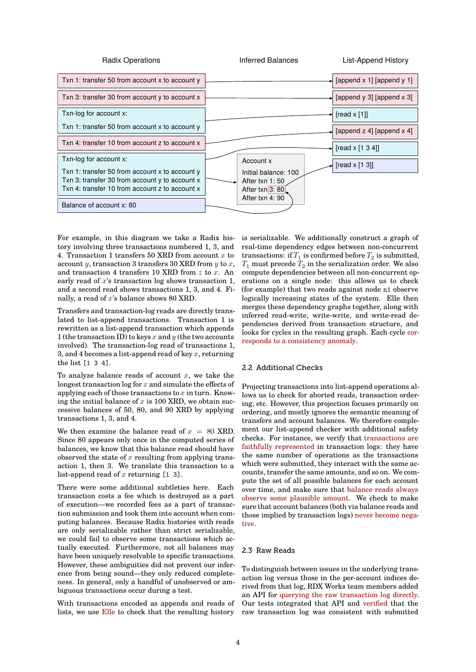

For example, in this diagram we take a Radix history involving three transactions numbered 1, 3, and 4. Transaction 1 transfers 50 XRD from account  $x$  to account  $y$ , transaction 3 transfers 30 XRD from  $y$  to  $x$ , and transaction 4 transfers 10 XRD from  $z$  to  $x$ . An early read of  $x$ 's transaction log shows transaction 1, and a second read shows transactions 1, 3, and 4. Finally, a read of  $x$ 's balance shows 80 XRD.

Transfers and transaction-log reads are directly translated to list-append transactions. Transaction 1 is rewritten as a list-append transaction which appends 1 (the transaction ID) to keys  $x$  and  $y$  (the two accounts involved). The transaction-log read of transactions 1, 3, and 4 becomes a list-append read of key  $x$ , returning the list [1 3 4].

To analyze balance reads of account  $x$ , we take the longest transaction  $\log$  for  $x$  and simulate the effects of applying each of those transactions to  $x$  in turn. Knowing the initial balance of  $x$  is 100 XRD, we obtain successive balances of 50, 80, and 90 XRD by applying transactions 1, 3, and 4.

We then examine the balance read of  $x = 80$  XRD. Since 80 appears only once in the computed series of balances, we know that this balance read should have observed the state of  $x$  resulting from applying transaction 1, then 3. We translate this transaction to a list-append read of  $x$  returning  $[1 3]$ .

There were some additional subtleties here. Each transaction costs a fee which is destroyed as a part of execution—we recorded fees as a part of transaction submission and took them into account when computing balances. Because Radix histories with reads are only serializable rather than strict serializable, we could fail to observe some transactions which actually executed. Furthermore, not all balances may have been uniquely resolvable to specific transactions. However, these ambiguities did not prevent our inference from being sound—they only reduced completeness. In general, only a handful of unobserved or ambiguous transactions occur during a test.

With transactions encoded as appends and reads of lists, we use Elle to check that the resulting history is serializable. We additionally construct a graph of real-time dependency edges between non-concurrent transactions: if  $T_1$  is confirmed before  $T_2$  is submitted,  $T_1$  must precede  $T_2$  in the serialization order. We also compute dependencies between all non-concurrent operations on a single node: this allows us to check (for example) that two reads against node n1 observe logically increasing states of the system. Elle then merges these dependency graphs together, along with inferred read-write, write-write, and write-read dependencies derived from transaction structure, and looks for cycles in the resulting graph. Each cycle corresponds to a consistency anomaly.

### 2.2 Additional Checks

[Projecting transactions into list-ap](https://pmg.csail.mit.edu/papers/icde00.pdf)pend operations allows us to check for aborted reads, transaction ordering, etc. However, this projection focuses primarily on ordering, and mostly ignores the semantic meaning of transfers and account balances. We therefore complement our list-append checker with additional safety checks. For instance, we verify that transactions are faithfully represented in transaction logs: they have the same number of operations as the transactions which were submitted, they interact with the same accounts, transfer the same amounts, and so on. We compute the set of all possible balances [for each account](https://github.com/jepsen-io/radix-dlt/blob/e599477376ea4b8a6b0c86368d28dc4efb447b8f/src/jepsen/radix_dlt/checker.clj#L473-L502) [over time, and make s](https://github.com/jepsen-io/radix-dlt/blob/e599477376ea4b8a6b0c86368d28dc4efb447b8f/src/jepsen/radix_dlt/checker.clj#L473-L502)ure that balance reads always observe some plausible amount. We check to make sure that account balances (both via balance reads and those implied by transaction logs) never become negative.

# 2.3 Raw Reads

[To d](https://github.com/jepsen-io/radix-dlt/blob/e599477376ea4b8a6b0c86368d28dc4efb447b8f/src/jepsen/radix_dlt/checker.clj#L403-L430)istinguish between issues in the underlying transaction log versus those in the per-account indices derived from that log, RDX Works team members added an API for querying the raw transaction log directly. Our tests integrated that API and verified that the raw transaction log was consistent with submitted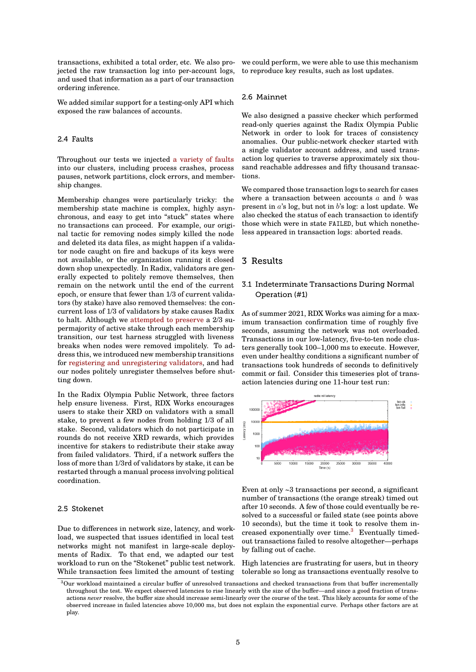transactions, exhibited a total order, etc. We also projected the raw transaction log into per-account logs, and used that information as a part of our transaction ordering inference.

We added similar support for a testing-only API which exposed the raw balances of accounts.

#### 2.4 Faults

Throughout our tests we injected a variety of faults into our clusters, including process crashes, process pauses, network partitions, clock errors, and membership changes.

Membership changes were partic[ularly tricky: the](https://github.com/jepsen-io/radix-dlt/blob/e599477376ea4b8a6b0c86368d28dc4efb447b8f/src/jepsen/radix_dlt/nemesis.clj) membership state machine is complex, highly asynchronous, and easy to get into "stuck" states where no transactions can proceed. For example, our original tactic for removing nodes simply killed the node and deleted its data files, as might happen if a validator node caught on fire and backups of its keys were not available, or the organization running it closed down shop unexpectedly. In Radix, validators are generally expected to politely remove themselves, then remain on the network until the end of the current epoch, or ensure that fewer than 1/3 of current validators (by stake) have also removed themselves: the concurrent loss of 1/3 of validators by stake causes Radix to halt. Although we attempted to preserve a 2/3 supermajority of active stake through each membership transition, our test harness struggled with liveness breaks when nodes were removed impolitely. To address this, we introduced new membership transitions for registering and u[nregistering validators,](https://github.com/jepsen-io/radix-dlt/blob/e599477376ea4b8a6b0c86368d28dc4efb447b8f/src/jepsen/radix_dlt/nemesis.clj#L163) and had our nodes politely unregister themselves before shutting down.

In the Radix Olympia Public Network, three factors hel[p ensure liveness. First, RDX Works en](https://github.com/jepsen-io/radix-dlt/blob/e599477376ea4b8a6b0c86368d28dc4efb447b8f/src/jepsen/radix_dlt/nemesis.clj#L189-L213)courages users to stake their XRD on validators with a small stake, to prevent a few nodes from holding 1/3 of all stake. Second, validators which do not participate in rounds do not receive XRD rewards, which provides incentive for stakers to redistribute their stake away from failed validators. Third, if a network suffers the loss of more than 1/3rd of validators by stake, it can be restarted through a manual process involving political coordination.

#### 2.5 Stokenet

Due to differences in network size, latency, and workload, we suspected that issues identified in local test networks might not manifest in large-scale deployments of Radix. To that end, we adapted our test workload to run on the "Stokenet" public test network. While transaction fees limited the amount of testing

we could perform, we were able to use this mechanism to reproduce key results, such as lost updates.

#### 2.6 Mainnet

We also designed a passive checker which performed read-only queries against the Radix Olympia Public Network in order to look for traces of consistency anomalies. Our public-network checker started with a single validator account address, and used transaction log queries to traverse approximately six thousand reachable addresses and fifty thousand transactions.

We compared those transaction logs to search for cases where a transaction between accounts  $a$  and  $b$  was present in  $a$ 's log, but not in  $b$ 's log: a lost update. We also checked the status of each transaction to identify those which were in state FAILED, but which nonetheless appeared in transaction logs: aborted reads.

# 3 Results

# 3.1 Indeterminate Transactions During Normal Operation (#1)

As of summer 2021, RDX Works was aiming for a maximum transaction confirmation time of roughly five seconds, assuming the network was not overloaded. Transactions in our low-latency, five-to-ten node clusters generally took 100–1,000 ms to execute. However, even under healthy conditions a significant number of transactions took hundreds of seconds to definitively commit or fail. Consider this timeseries plot of transaction latencies during one 11-hour test run:



Even at only ~3 transactions per second, a significant number of transactions (the orange streak) timed out after 10 seconds. A few of those could eventually be resolved to a successful or failed state (see points above 10 seconds), but the time it took to resolve them increased exponentially over time.<sup>3</sup> Eventually timedout transactions failed to resolve altogether—perhaps by falling out of cache.

High latencies are frustrating for users, but in theory tolerable so long as transactions [e](#page-4-0)ventually resolve to

<span id="page-4-0"></span> $3$ Our workload maintained a circular buffer of unresolved transactions and checked transactions from that buffer incrementally throughout the test. We expect observed latencies to rise linearly with the size of the buffer—and since a good fraction of transactions *never* resolve, the buffer size should increase semi-linearly over the course of the test. This likely accounts for some of the observed increase in failed latencies above 10,000 ms, but does not explain the exponential curve. Perhaps other factors are at play.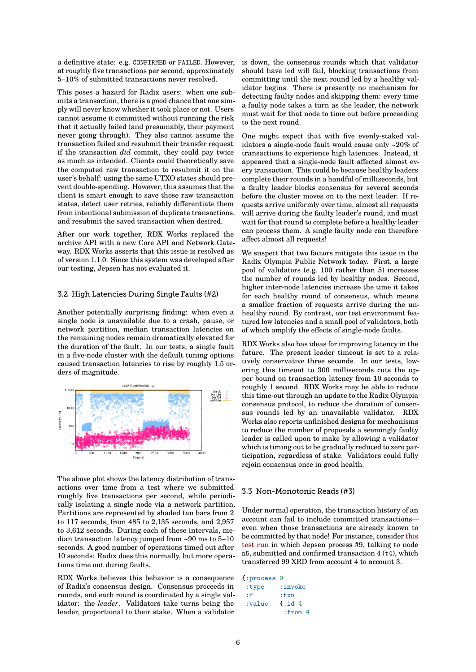a definitive state: e.g. CONFIRMED or FAILED. However, at roughly five transactions per second, approximately 5–10% of submitted transactions never resolved.

This poses a hazard for Radix users: when one submits a transaction, there is a good chance that one simply will never know whether it took place or not. Users cannot assume it committed without running the risk that it actually failed (and presumably, their payment never going through). They also cannot assume the transaction failed and resubmit their transfer request: if the transaction *did* commit, they could pay twice as much as intended. Clients could theoretically save the computed raw transaction to resubmit it on the user's behalf: using the same UTXO states should prevent double-spending. However, this assumes that the client is smart enough to save those raw transaction states, detect user retries, reliably differentiate them from intentional submission of duplicate transactions, and resubmit the saved transaction when desired.

After our work together, RDX Works replaced the archive API with a new Core API and Network Gateway. RDX Works asserts that this issue is resolved as of version 1.1.0. Since this system was developed after our testing, Jepsen has not evaluated it.

# 3.2 High Latencies During Single Faults (#2)

Another potentially surprising finding: when even a single node is unavailable due to a crash, pause, or network partition, median transaction latencies on the remaining nodes remain dramatically elevated for the duration of the fault. In our tests, a single fault in a five-node cluster with the default tuning options caused transaction latencies to rise by roughly 1.5 orders of magnitude.



The above plot shows the latency distribution of transactions over time from a test where we submitted roughly five transactions per second, while periodically isolating a single node via a network partition. Partitions are represented by shaded tan bars from 2 to 117 seconds, from 485 to 2,135 seconds, and 2,957 to 3,612 seconds. During each of these intervals, median transaction latency jumped from ~90 ms to 5–10 seconds. A good number of operations timed out after 10 seconds: Radix does this normally, but more operations time out during faults.

RDX Works believes this behavior is a consequence of Radix's consensus design. Consensus proceeds in rounds, and each round is coordinated by a single validator: the *leader*. Validators take turns being the leader, proportional to their stake. When a validator is down, the consensus rounds which that validator should have led will fail, blocking transactions from committing until the next round led by a healthy validator begins. There is presently no mechanism for detecting faulty nodes and skipping them: every time a faulty node takes a turn as the leader, the network must wait for that node to time out before proceeding to the next round.

One might expect that with five evenly-staked validators a single-node fault would cause only ~20% of transactions to experience high latencies. Instead, it appeared that a single-node fault affected almost every transaction. This could be because healthy leaders complete their rounds in a handful of milliseconds, but a faulty leader blocks consensus for several seconds before the cluster moves on to the next leader. If requests arrive uniformly over time, almost all requests will arrive during the faulty leader's round, and must wait for that round to complete before a healthy leader can process them. A single faulty node can therefore affect almost all requests!

We suspect that two factors mitigate this issue in the Radix Olympia Public Network today. First, a large pool of validators (e.g. 100 rather than 5) increases the number of rounds led by healthy nodes. Second, higher inter-node latencies increase the time it takes for each healthy round of consensus, which means a smaller fraction of requests arrive during the unhealthy round. By contrast, our test environment featured low latencies and a small pool of validators, both of which amplify the effects of single-node faults.

RDX Works also has ideas for improving latency in the future. The present leader timeout is set to a relatively conservative three seconds. In our tests, lowering this timeout to 300 milliseconds cuts the upper bound on transaction latency from 10 seconds to roughly 1 second. RDX Works may be able to reduce this time-out through an update to the Radix Olympia consensus protocol, to reduce the duration of consensus rounds led by an unavailable validator. RDX Works also reports unfinished designs for mechanisms to reduce the number of proposals a seemingly faulty leader is called upon to make by allowing a validator which is timing out to be gradually reduced to zero participation, regardless of stake. Validators could fully rejoin consensus once in good health.

# 3.3 Non-Monotonic Reads (#3)

Under normal operation, the transaction history of an account can fail to include committed transactions even when those transactions are already known to be committed by that node! For instance, consider this test run in which Jepsen process #9, talking to node n5, submitted and confirmed transaction 4 (t4), which transferred 99 XRD from account 4 to account 3.

```
{:process 9
 :type :invoke
 :f :txn
 :value {:id 4
          :from 4
```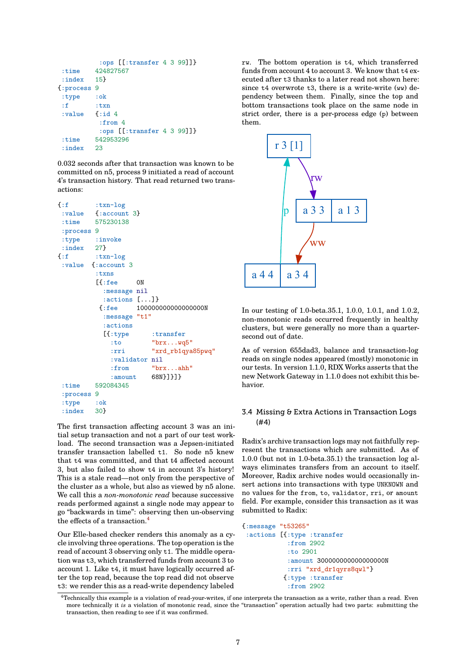```
:ops [[:transfer 4 3 99]]}
 :time 424827567
 :index 15}
{:process 9
:type :ok
:f :txn
 :value {:id 4
          :from 4
          :ops [[:transfer 4 3 99]]}
 :time 542953296
 :index 23
```
0.032 seconds after that transaction was known to be committed on n5, process 9 initiated a read of account 4's transaction history. That read returned two transactions:

```
{:f :txn-log
 :value {:account 3}
:time 575230138
 :process 9
 :type :invoke
 :index 27}
\{ : f \quad : \text{tran-log}:value {:account 3
         :txns
         [{:fee 0N
           :message nil
           :actions [...]}
          {:fee 100000000000000000N
           :message "t1"
           :actions
           [{:type :transfer
             :to "brx...wq5"
             :rri "xrd_rb1qya85pwq"
             :validator nil
             :from "brx...ahh"
             :amount 68N}]}]}
 :time 592084345
 :process 9
 :type :ok
 :index 30}
```
The first transaction affecting account 3 was an initial setup transaction and not a part of our test workload. The second transaction was a Jepsen-initiated transfer transaction labelled t1. So node n5 knew that t4 was committed, and that t4 affected account 3, but also failed to show t4 in account 3's history! This is a stale read—not only from the perspective of the cluster as a whole, but also as viewed by n5 alone. We call this a *non-monotonic read* because successive reads performed against a single node may appear to go "backwards in time": observing then un-observing the effects of a transaction.<sup>4</sup>

Our Elle-based checker renders this anomaly as a cycle involving three operations. The top operation is the read of account 3 observing only t1. The middle operation was t3, which transfer[re](#page-6-0)d funds from account 3 to account 1. Like t4, it must have logically occurred after the top read, because the top read did not observe t3: we render this as a read-write dependency labeled rw. The bottom operation is t4, which transferred funds from account 4 to account 3. We know that t4 executed after t3 thanks to a later read not shown here: since t4 overwrote t3, there is a write-write (ww) dependency between them. Finally, since the top and bottom transactions took place on the same node in strict order, there is a per-process edge (p) between them.



In our testing of 1.0-beta.35.1, 1.0.0, 1.0.1, and 1.0.2, non-monotonic reads occurred frequently in healthy clusters, but were generally no more than a quartersecond out of date.

As of version 655dad3, balance and transaction-log reads on single nodes appeared (mostly) monotonic in our tests. In version 1.1.0, RDX Works asserts that the new Network Gateway in 1.1.0 does not exhibit this behavior.

# 3.4 Missing & Extra Actions in Transaction Logs (#4)

Radix's archive transaction logs may not faithfully represent the transactions which are submitted. As of 1.0.0 (but not in 1.0-beta.35.1) the transaction log always eliminates transfers from an account to itself. Moreover, Radix archive nodes would occasionally insert actions into transactions with type UNKNOWN and no values for the from, to, validator, rri, or amount field. For example, consider this transaction as it was submitted to Radix:

```
{:message "t53265"
 :actions [{:type :transfer
            :from 2902
            :to 2901
            :amount 300000000000000000N
            :rri "xrd_dr1qyrs8qwl"}
           {:type :transfer
            :from 2902
```
<span id="page-6-0"></span><sup>4</sup>Technically this example is a violation of read-your-writes, if one interprets the transaction as a write, rather than a read. Even more technically it *is* a violation of monotonic read, since the "transaction" operation actually had two parts: submitting the transaction, then reading to see if it was confirmed.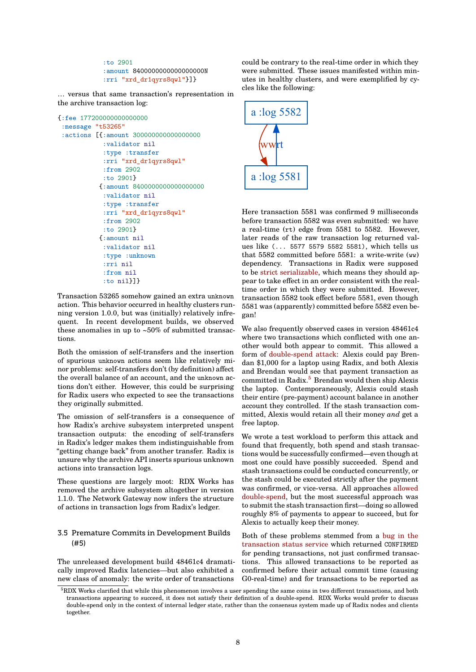:to 2901 :amount 8400000000000000000N :rri "xrd\_dr1qyrs8qwl"}]}

… versus that same transaction's representation in the archive transaction log:

```
{:fee 177200000000000000
 :message "t53265"
 :actions [{:amount 300000000000000000
            :validator nil
            :type :transfer
            :rri "xrd_dr1qyrs8qwl"
            :from 2902
            :to 2901}
           {:amount 8400000000000000000
            :validator nil
            :type :transfer
            :rri "xrd_dr1qyrs8qwl"
            :from 2902
            :to 2901}
           {:amount nil
            :validator nil
            :type :unknown
            :rri nil
            :from nil
            :to nil}]}
```
Transaction 53265 somehow gained an extra unknown action. This behavior occurred in healthy clusters running version 1.0.0, but was (initially) relatively infrequent. In recent development builds, we observed these anomalies in up to  $~50\%$  of submitted transactions.

Both the omission of self-transfers and the insertion of spurious unknown actions seem like relatively minor problems: self-transfers don't (by definition) affect the overall balance of an account, and the unknown actions don't either. However, this could be surprising for Radix users who expected to see the transactions they originally submitted.

The omission of self-transfers is a consequence of how Radix's archive subsystem interpreted unspent transaction outputs: the encoding of self-transfers in Radix's ledger makes them indistinguishable from "getting change back" from another transfer. Radix is unsure why the archive API inserts spurious unknown actions into transaction logs.

These questions are largely moot: RDX Works has removed the archive subsystem altogether in version 1.1.0. The Network Gateway now infers the structure of actions in transaction logs from Radix's ledger.

# 3.5 Premature Commits in Development Builds (#5)

The unreleased development build 48461c4 dramatically improved Radix latencies—but also exhibited a new class of anomaly: the write order of transactions could be contrary to the real-time order in which they were submitted. These issues manifested within minutes in healthy clusters, and were exemplified by cycles like the following:



Here transaction 5581 was confirmed 9 milliseconds before transaction 5582 was even submitted: we have a real-time (rt) edge from 5581 to 5582. However, later reads of the raw transaction log returned values like (... 5577 5579 5582 5581), which tells us that 5582 committed before 5581: a write-write (ww) dependency. Transactions in Radix were supposed to be strict serializable, which means they should appear to take effect in an order consistent with the realtime order in which they were submitted. However, transaction 5582 took effect before 5581, even though 5581 [was \(apparently\) c](https://jepsen.io/consistency/models/strict-serializable)ommitted before 5582 even began!

We also frequently observed cases in version 48461c4 where two transactions which conflicted with one another would both appear to commit. This allowed a form of double-spend attack: Alexis could pay Brendan \$1,000 for a laptop using Radix, and both Alexis and Brendan would see that payment transaction as committed in Radix.<sup>5</sup> Brendan would then ship Alexis the laptop. Contemporaneously, Alexis could stash their en[tire \(pre-payment\) ac](https://nvlpubs.nist.gov/nistpubs/ir/2018/NIST.IR.8202.pdf)count balance in another account they controlled. If the stash transaction committed, Alexis woul[d](#page-7-0) retain all their money *and* get a free laptop.

We wrote a test workload to perform this attack and found that frequently, both spend and stash transactions would be successfully confirmed—even though at most one could have possibly succeeded. Spend and stash transactions could be conducted concurrently, or the stash could be executed strictly after the payment was confirmed, or vice-versa. All approaches allowed double-spend, but the most successful approach was to submit the stash transaction first—doing so allowed roughly 8% of payments to appear to succeed, but for Alexis to actually keep their money.

[Both of these](http://jepsen.io.s3.amazonaws.com/analyses/radix-dlt-1.0-beta.35.1/20210819T082406.000-0400.zip) problems stemmed from a bu[g in the](http://jepsen.io.s3.amazonaws.com/analyses/radix-dlt-1.0-beta.35.1/20210819T082406.000-0400.zip) transaction status service which returned CONFIRMED for pending transactions, not just confirmed transactions. This allowed transactions to be reported as confirmed before their actual commit time (causing [G0-real-time\) and for tran](https://github.com/radixdlt/radixdlt/commit/350ac777a09452a636839d4ffb3267eba0a57b52)sactions to be [reported as](https://github.com/radixdlt/radixdlt/commit/350ac777a09452a636839d4ffb3267eba0a57b52)

<span id="page-7-0"></span> $5RDX$  Works clarified that while this phenomenon involves a user spending the same coins in two different transactions, and both transactions appearing to succeed, it does not satisfy their definition of a double-spend. RDX Works would prefer to discuss double-spend only in the context of internal ledger state, rather than the consensus system made up of Radix nodes and clients together.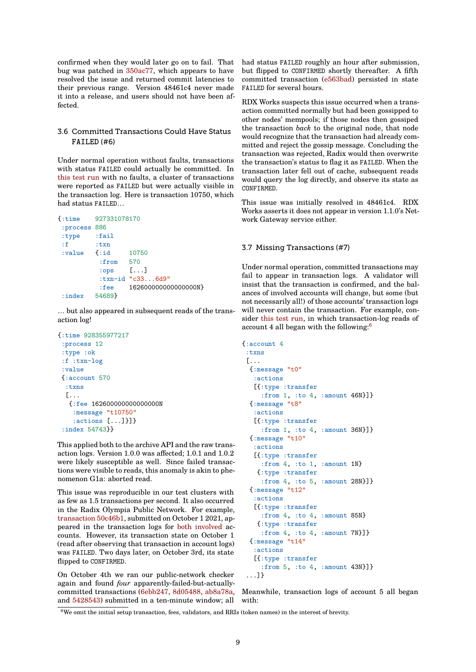confirmed when they would later go on to fail. That bug was patched in 350ac77, which appears to have resolved the issue and returned commit latencies to their previous range. Version 48461c4 never made it into a release, and users should not have been affected.

# 3.6 Committed Transactions Could Have Status **FAILED** (#6)

Under normal operation without faults, transactions with status FAILED could actually be committed. In this test run with no faults, a cluster of transactions were reported as FAILED but were actually visible in the transaction log. Here is transaction 10750, which had status FAILED…

```
{:time 927331078170
:process 886
:type :fail
:f :txn
:value {:id 10750
         :from 570
         :ops [...]
         :txn-id "c33...6d9"
         :fee 162600000000000000N}
:index 54689}
```
… but also appeared in subsequent reads of the transaction log!

```
{:time 928355977217
:process 12
 :type :ok
 :f :txn-log
 :value
{:account 570
  :txns
  \lceil \ldots \rceil{:fee 162600000000000000N
    :message "t10750"
    :actions [...]}]}
 :index 54743}}
```
This applied both to the archive API and the raw transaction logs. Version 1.0.0 was affected; 1.0.1 and 1.0.2 were likely susceptible as well. Since failed transactions were visible to reads, this anomaly is akin to phenomenon G1a: aborted read.

This issue was reproducible in our test clusters with as few as 1.5 transactions per second. It also occurred in the Radix Olympia Public Network. For example, transaction 50c46b1, submitted on October 1 2021, appeared in the transaction logs for both involved accounts. However, its transaction state on October 1 (read after observing that transaction in account logs) was FAILED. Two days later, on October 3rd, its state flipped to [CONFIRMED](https://explorer.radixdlt.com/#/transactions/50c46b111ba2f3e2d53a4399486ed0ad0f0c6e91dccce3e161d118d8346df347).

On October 4th we ran our public[-netw](https://explorer.radixdlt.com/#/accounts/rdx1qspg0e9d6mqplasehhhrrh3a5xsnhy8y0w3d25rc4j0fhuqf7ldsa2q8tuvcj)[ork chec](https://explorer.radixdlt.com/#/accounts/rdx1qspghqm82jgvkjy8tpq3zqggxdtwkp22spnhqy6u7ugjqfu62my42yc32xvqx)ker again and found *four* apparently-failed-but-actuallycommitted transactions (6ebb247, 8d05488, ab8a78a, and 5428543) submitted in a ten-minute window; all had status FAILED roughly an hour after submission, but flipped to CONFIRMED shortly thereafter. A fifth committed transaction (e563bad) persisted in state FAILED for several hours.

RDX Works suspects this issue occurred when a transaction committed normally but had been gossipped to other nodes' mempools; [if those n](https://explorer.radixdlt.com/#/transactions/e563bad72d2e14486d82d6f7e55f7ca8152c2a9ec10e9c77ca2ae1f3e865ba31)odes then gossiped the transaction *back* to the original node, that node would recognize that the transaction had already committed and reject the gossip message. Concluding the transaction was rejected, Radix would then overwrite the transaction's status to flag it as FAILED. When the transaction later fell out of cache, subsequent reads would query the log directly, and observe its state as CONFIRMED.

This issue was initially resolved in 48461c4. RDX Works asserts it does not appear in version 1.1.0's Network Gateway service either.

#### 3.7 Missing Transactions (#7)

Under normal operation, committed transactions may fail to appear in transaction logs. A validator will insist that the transaction is confirmed, and the balances of involved accounts will change, but some (but not necessarily all!) of those accounts' transaction logs will never contain the transaction. For example, consider this test run, in which transaction-log reads of account 4 all began with the following:<sup>6</sup>

```
{:account 4
 :txns
 [...
  {:message "t0"
   :actions
   [{:type :transfer
     :from 1, :to 4, :amount 46N}]}
  {:message "t8"
   :actions
   [{:type :transfer
     :from 1, :to 4, :amount 36N}]}
  {:message "t10"
   :actions
   [{:type :transfer
     :from 4, :to 1, :amount 1N}
    {:type :transfer
     :from 4, :to 5, :amount 28N}]}
  {:message "t12"
   :actions
   [{:type :transfer
     :from 4, :to 4, :amount 85N}
    {:type :transfer
     :from 4, :to 4, :amount 7N}]}
  {:message "t14"
   :actions
   [{:type :transfer
     :from 5, :to 4, :amount 43N}]}
 ...]}
```
Meanwhile, transaction logs of account 5 all began with:

 $6$ We omit the initial setup transaction, fees, validators, and RRIs (token names) in the interest of brevity.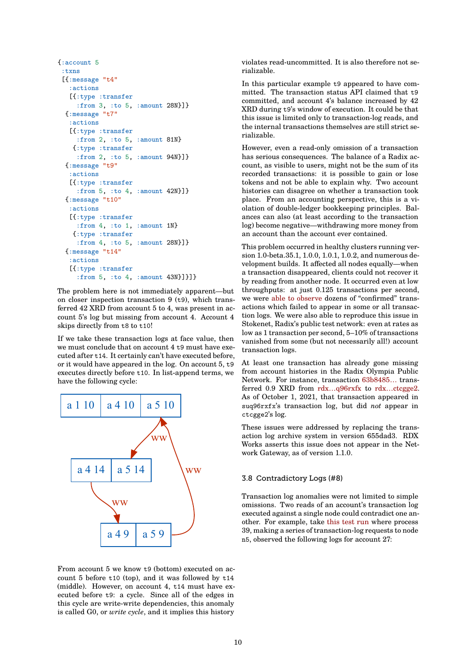```
{:account 5
 :txns
 [{:message "t4"
   :actions
   [{:type :transfer
     :from 3, :to 5, :amount 28N}]}
  {:message "t7"
   :actions
   [{:type :transfer
     :from 2, :to 5, :amount 81N}
   {:type :transfer
     :from 2, :to 5, :amount 94N}]}
  {:message "t9"
   :actions
   [{:type :transfer
     :from 5, :to 4, :amount 42N}]}
  {:message "t10"
   :actions
   [{:type :transfer
     :from 4, :to 1, :amount 1N}
   {:type :transfer
     :from 4, :to 5, :amount 28N}]}
  {:message "t14"
   :actions
   [{:type :transfer
     :from 5, :to 4, :amount 43N}]}]}
```
The problem here is not immediately apparent—but on closer inspection transaction 9 (t9), which transferred 42 XRD from account 5 to 4, was present in account 5's log but missing from account 4. Account 4 skips directly from t8 to t10!

If we take these transaction logs at face value, then we must conclude that on account 4 t9 must have executed after t14. It certainly can't have executed before, or it would have appeared in the log. On account 5, t9 executes directly before t10. In list-append terms, we have the following cycle:



From account 5 we know t9 (bottom) executed on account 5 before t10 (top), and it was followed by t14 (middle). However, on account 4, t14 must have executed before t9: a cycle. Since all of the edges in this cycle are write-write dependencies, this anomaly is called G0, or *write cycle*, and it implies this history violates read-uncommitted. It is also therefore not serializable.

In this particular example t9 appeared to have committed. The transaction status API claimed that t9 committed, and account 4's balance increased by 42 XRD during t9's window of execution. It could be that this issue is limited only to transaction-log reads, and the internal transactions themselves are still strict serializable.

However, even a read-only omission of a transaction has serious consequences. The balance of a Radix account, as visible to users, might not be the sum of its recorded transactions: it is possible to gain or lose tokens and not be able to explain why. Two account histories can disagree on whether a transaction took place. From an accounting perspective, this is a violation of double-ledger bookkeeping principles. Balances can also (at least according to the transaction log) become negative—withdrawing more money from an account than the account ever contained.

This problem occurred in healthy clusters running version 1.0-beta.35.1, 1.0.0, 1.0.1, 1.0.2, and numerous development builds. It affected all nodes equally—when a transaction disappeared, clients could not recover it by reading from another node. It occurred even at low throughputs: at just 0.125 transactions per second, we were able to observe dozens of "confirmed" transactions which failed to appear in some or all transaction logs. We were also able to reproduce this issue in Stokenet, Radix's public test network: even at rates as low as 1 transaction per second, 5–10% of transactions vanished [from some \(but](http://jepsen.io.s3.amazonaws.com/analyses/radix-dlt-1.0-beta.35.1/20211003T125820.000-0400.zip) not necessarily all!) account transaction logs.

At least one transaction has already gone missing from account histories in the Radix Olympia Public Network. For instance, transaction 63b8485… transferred 0.9 XRD from rdx…q96rxfx to rdx…ctcgge2. As of October 1, 2021, that transaction appeared in suq96rxfx's transaction log, but did *not* appear in ctcgge2's log.

These issues were ad[dressed by rep](https://explorer.radixdlt.com/#/accounts/rdx1qspazklduee55nkcsr6qexpphavu2cny86scz24esze3aegrr0j5suq96rxfx)[laci](https://explorer.radixdlt.com/#/transactions/63b848520727a32d9da405c2c6f8b5ec8b58cb85b675dda7e188f143655af2e6)[ng the trans](https://explorer.radixdlt.com/#/accounts/rdx1qspsgtz8wxzhs7h3m5dxz4uw0a350qp567zz4v9xgamcag8kavsxvpctcgge2)action log archive system in version 655dad3. RDX Works asserts this issue does not appear in the Network Gateway, as of version 1.1.0.

#### 3.8 Contradictory Logs (#8)

Transaction log anomalies were not limited to simple omissions. Two reads of an account's transaction log executed against a single node could contradict one another. For example, take this test run where process 39, making a series of transaction-log requests to node n5, observed the following logs for account 27: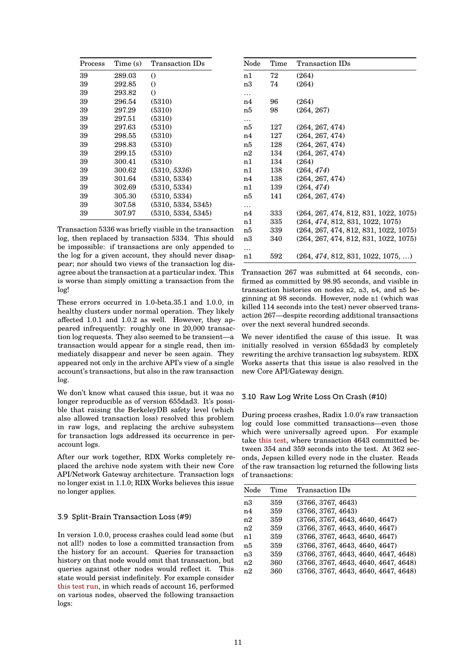| Process | Time (s) | Transaction IDs    |
|---------|----------|--------------------|
| 39      | 289.03   | $\left( \right)$   |
| 39      | 292.85   | $\left( \right)$   |
| 39      | 293.82   | $\Omega$           |
| 39      | 296.54   | (5310)             |
| 39      | 297.29   | (5310)             |
| 39      | 297.51   | (5310)             |
| 39      | 297.63   | (5310)             |
| 39      | 298.55   | (5310)             |
| 39      | 298.83   | (5310)             |
| 39      | 299.15   | (5310)             |
| 39      | 300.41   | (5310)             |
| 39      | 300.62   | (5310, 5336)       |
| 39      | 301.64   | (5310, 5334)       |
| 39      | 302.69   | (5310, 5334)       |
| 39      | 305.30   | (5310, 5334)       |
| 39      | 307.58   | (5310, 5334, 5345) |
| 39      | 307.97   | (5310, 5334, 5345) |

Transaction 5336 was briefly visible in the transaction log, then replaced by transaction 5334. This should be impossible: if transactions are only appended to the log for a given account, they should never disappear; nor should two views of the transaction log disagree about the transaction at a particular index. This is worse than simply omitting a transaction from the log!

These errors occurred in 1.0-beta.35.1 and 1.0.0, in healthy clusters under normal operation. They likely affected 1.0.1 and 1.0.2 as well. However, they appeared infrequently: roughly one in 20,000 transaction log requests. They also seemed to be transient—a transaction would appear for a single read, then immediately disappear and never be seen again. They appeared not only in the archive API's view of a single account's transactions, but also in the raw transaction log.

We don't know what caused this issue, but it was no longer reproducible as of version 655dad3. It's possible that raising the BerkeleyDB safety level (which also allowed transaction loss) resolved this problem in raw logs, and replacing the archive subsystem for transaction logs addressed its occurrence in peraccount logs.

After our work together, RDX Works completely replaced the archive node system with their new Core API/Network Gateway architecture. Transaction logs no longer exist in 1.1.0; RDX Works believes this issue no longer applies.

#### 3.9 Split-Brain Transaction Loss (#9)

In version 1.0.0, process crashes could lead some (but not all!) nodes to lose a committed transaction from the history for an account. Queries for transaction history on that node would omit that transaction, but queries against other nodes would reflect it. This state would persist indefinitely. For example consider this test run, in which reads of account 16, performed on various nodes, observed the following transaction logs:

| Node | Time | Transaction IDs                       |
|------|------|---------------------------------------|
| n1   | 72   | (264)                                 |
| n3   | 74   | (264)                                 |
| .    |      |                                       |
| n4   | 96   | (264)                                 |
| n5   | 98   | (264, 267)                            |
| .    |      |                                       |
| n5   | 127  | (264, 267, 474)                       |
| n4   | 127  | (264, 267, 474)                       |
| n5   | 128  | (264, 267, 474)                       |
| n2   | 134  | (264, 267, 474)                       |
| n1   | 134  | (264)                                 |
| n1   | 138  | (264, 474)                            |
| n4   | 138  | (264, 267, 474)                       |
| n1   | 139  | (264, 474)                            |
| n5   | 141  | (264, 267, 474)                       |
| .    |      |                                       |
| n4   | 333  | (264, 267, 474, 812, 831, 1022, 1075) |
| n1   | 335  | (264, 474, 812, 831, 1022, 1075)      |
| n5   | 339  | (264, 267, 474, 812, 831, 1022, 1075) |
| n3   | 340  | (264, 267, 474, 812, 831, 1022, 1075) |
| .    |      |                                       |
| n1   | 592  | (264, 474, 812, 831, 1022, 1075, )    |

Transaction 267 was submitted at 64 seconds, confirmed as committed by 98.95 seconds, and visible in transaction histories on nodes n2, n3, n4, and n5 beginning at 98 seconds. However, node n1 (which was killed 114 seconds into the test) never observed transaction 267—despite recording additional transactions over the next several hundred seconds.

We never identified the cause of this issue. It was initially resolved in version 655dad3 by completely rewriting the archive transaction log subsystem. RDX Works asserts that this issue is also resolved in the new Core API/Gateway design.

#### 3.10 Raw Log Write Loss On Crash (#10)

During process crashes, Radix 1.0.0's raw transaction log could lose committed transactions—even those which were universally agreed upon. For example take this test, where transaction 4643 committed between 354 and 359 seconds into the test. At 362 seconds, Jepsen killed every node in the cluster. Reads of the raw transaction log returned the following lists of tr[ansaction](http://jepsen.io.s3.amazonaws.com/analyses/radix-dlt-1.0-beta.35.1/20210805T013212.000-0400.zip)s:

| Node | Time | Transaction IDs                      |
|------|------|--------------------------------------|
| n3   | 359  | (3766, 3767, 4643)                   |
| n4   | 359  | (3766, 3767, 4643)                   |
| n2   | 359  | (3766, 3767, 4643, 4640, 4647)       |
| n2   | 359  | (3766, 3767, 4643, 4640, 4647)       |
| n1   | 359  | (3766, 3767, 4643, 4640, 4647)       |
| n5   | 359  | (3766, 3767, 4643, 4640, 4647)       |
| n3   | 359  | (3766, 3767, 4643, 4640, 4647, 4648) |
| n2   | 360  | (3766, 3767, 4643, 4640, 4647, 4648) |
| n2   | 360  | (3766, 3767, 4643, 4640, 4647, 4648) |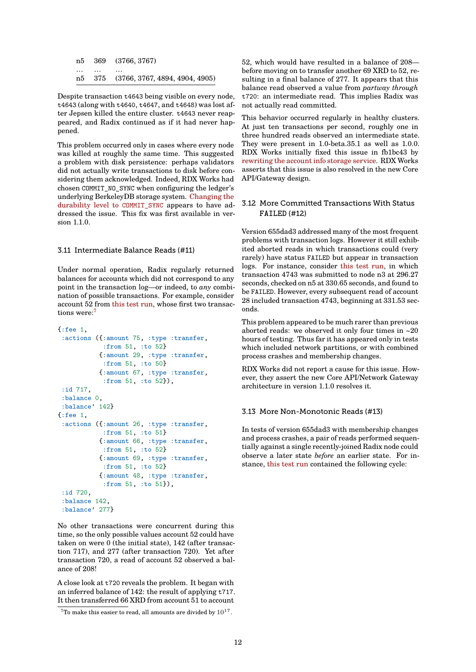n5 369 (3766, 3767) … … … n5 375 (3766, 3767, 4894, 4904, 4905)

Despite transaction t4643 being visible on every node, t4643 (along with t4640, t4647, and t4648) was lost after Jepsen killed the entire cluster. t4643 never reappeared, and Radix continued as if it had never happened.

This problem occurred only in cases where every node was killed at roughly the same time. This suggested a problem with disk persistence: perhaps validators did not actually write transactions to disk before considering them acknowledged. Indeed, RDX Works had chosen COMMIT\_NO\_SYNC when configuring the ledger's underlying BerkeleyDB storage system. Changing the durability level to COMMIT\_SYNC appears to have addressed the issue. This fix was first available in version 1.1.0.

# [3.11 Intermediate Balance Re](https://github.com/radixdlt/radixdlt/commit/704ee58fe9fefa92a2324a40d21483e96f5f4658)ads (#11)

Under normal operation, Radix regularly returned balances for accounts which did not correspond to any point in the transaction log—or indeed, to *any* combination of possible transactions. For example, consider account 52 from this test run, whose first two transactions were:<sup>7</sup>

```
{:fee 1,
 :actions ({:amount 75, :type :transfer,
            :from 51, :to 52}
           {:amount 29, :type :transfer,
            :from 51, :to 50}
           {:amount 67, :type :transfer,
            :from 51, :to 52}),
 :id 717,
 :balance 0,
 :balance' 142}
{:fee 1,
 :actions ({:amount 26, :type :transfer,
            :from 51, :to 51}
           {:amount 66, :type :transfer,
            :from 51, :to 52}
           {:amount 69, :type :transfer,
            :from 51, :to 52}
           {:amount 48, :type :transfer,
            :from 51, :to 51}),
 :id 720,
 :balance 142,
 :balance' 277}
```
No other transactions were concurrent during this time, so the only possible values account 52 could have taken on were 0 (the initial state), 142 (after transaction 717), and 277 (after transaction 720). Yet after transaction 720, a read of account 52 observed a balance of 208!

A close look at t720 reveals the problem. It began with an inferred balance of 142: the result of applying t717. It then transferred 66 XRD from account 51 to account 52, which would have resulted in a balance of 208 before moving on to transfer another 69 XRD to 52, resulting in a final balance of 277. It appears that this balance read observed a value from *partway through* t720: an intermediate read. This implies Radix was not actually read committed.

This behavior occurred regularly in healthy clusters. At just ten transactions per second, roughly one in three hundred reads observed an intermediate state. They were present in 1.0-beta.35.1 as well as 1.0.0. RDX Works initially fixed this issue in fb1bc43 by rewriting the account info storage service. RDX Works asserts that this issue is also resolved in the new Core API/Gateway design.

# [3.12 More Committed Transactions W](https://github.com/radixdlt/radixdlt/pull/486)ith Status **FAILED** (#12)

Version 655dad3 addressed many of the most frequent problems with transaction logs. However it still exhibited aborted reads in which transactions could (very rarely) have status FAILED but appear in transaction logs. For instance, consider this test run, in which transaction 4743 was submitted to node n3 at 296.27 seconds, checked on n5 at 330.65 seconds, and found to be FAILED. However, every subsequent read of account 28 included transaction 4743, [beginning at 3](http://jepsen.io.s3.amazonaws.com/analyses/radix-dlt-1.0-beta.35.1/20211006T154521.000Z.zip)31.53 seconds.

This problem appeared to be much rarer than previous aborted reads: we observed it only four times in ~20 hours of testing. Thus far it has appeared only in tests which included network partitions, or with combined process crashes and membership changes.

RDX Works did not report a cause for this issue. However, they assert the new Core API/Network Gateway architecture in version 1.1.0 resolves it.

# 3.13 More Non-Monotonic Reads (#13)

In tests of version 655dad3 with membership changes and process crashes, a pair of reads performed sequentially against a single recently-joined Radix node could observe a later state *before* an earlier state. For instance, this test run contained the following cycle:

 $7$ To make this easier to read, all amounts are divided by  $10^{17}$ .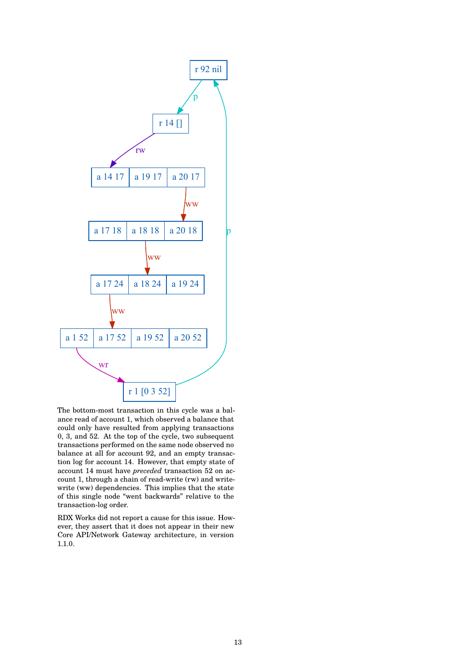

The bottom-most transaction in this cycle was a balance read of account 1, which observed a balance that could only have resulted from applying transactions 0, 3, and 52. At the top of the cycle, two subsequent transactions performed on the same node observed no balance at all for account 92, and an empty transaction log for account 14. However, that empty state of account 14 must have *preceded* transaction 52 on account 1, through a chain of read-write (rw) and writewrite (ww) dependencies. This implies that the state of this single node "went backwards" relative to the transaction-log order.

RDX Works did not report a cause for this issue. However, they assert that it does not appear in their new Core API/Network Gateway architecture, in version 1.1.0.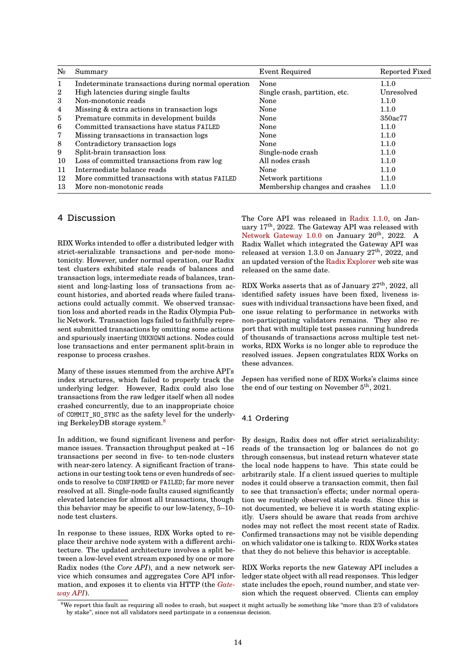| $\mathbf{N}_2$ | Summary                                            | <b>Event Required</b>          | Reported Fixed |
|----------------|----------------------------------------------------|--------------------------------|----------------|
| 1              | Indeterminate transactions during normal operation | None                           | 1.1.0          |
| $\overline{2}$ | High latencies during single faults                | Single crash, partition, etc.  | Unresolved     |
| 3              | Non-monotonic reads                                | None                           | 1.1.0          |
| 4              | Missing & extra actions in transaction logs        | None                           | 1.1.0          |
| $\overline{5}$ | Premature commits in development builds            | None                           | 350ac77        |
| 6              | Committed transactions have status FAILED          | None                           | 1.1.0          |
| 7              | Missing transactions in transaction logs           | None                           | 1.1.0          |
| 8              | Contradictory transaction logs                     | None                           | 1.1.0          |
| 9              | Split-brain transaction loss                       | Single-node crash              | 1.1.0          |
| 10             | Loss of committed transactions from raw log        | All nodes crash                | 1.1.0          |
| 11             | Intermediate balance reads                         | None                           | 1.1.0          |
| 12             | More committed transactions with status FAILED     | Network partitions             | 1.1.0          |
| 13             | More non-monotonic reads                           | Membership changes and crashes | 1.1.0          |

# 4 Discussion

RDX Works intended to offer a distributed ledger with strict-serializable transactions and per-node monotonicity. However, under normal operation, our Radix test clusters exhibited stale reads of balances and transaction logs, intermediate reads of balances, transient and long-lasting loss of transactions from account histories, and aborted reads where failed transactions could actually commit. We observed transaction loss and aborted reads in the Radix Olympia Public Network. Transaction logs failed to faithfully represent submitted transactions by omitting some actions and spuriously inserting UNKNOWN actions. Nodes could lose transactions and enter permanent split-brain in response to process crashes.

Many of these issues stemmed from the archive API's index structures, which failed to properly track the underlying ledger. However, Radix could also lose transactions from the raw ledger itself when all nodes crashed concurrently, due to an inappropriate choice of COMMIT\_NO\_SYNC as the safety level for the underlying BerkeleyDB storage system. $\frac{8}{3}$ 

In addition, we found significant liveness and performance issues. Transaction throughput peaked at  $~16$ transactions per second in five[-](#page-13-0) to ten-node clusters with near-zero latency. A significant fraction of transactions in our testing took tens or even hundreds of seconds to resolve to CONFIRMED or FAILED; far more never resolved at all. Single-node faults caused significantly elevated latencies for almost all transactions, though this behavior may be specific to our low-latency, 5–10 node test clusters.

In response to these issues, RDX Works opted to replace their archive node system with a different architecture. The updated architecture involves a split between a low-level event stream exposed by one or more Radix nodes (the *Core API*), and a new network service which consumes and aggregates Core API information, and exposes it to clients via HTTP (the *Gateway API*).

The Core API was released in Radix 1.1.0, on January 17th, 2022. The Gateway API was released with Network Gateway  $1.0.0$  on January  $20<sup>th</sup>$ ,  $2022$ . A Radix Wallet which integrated the Gateway API was released at version 1.3.0 on January  $27<sup>th</sup>$ , 2022, and an updated version of the Radix [Explorer](https://github.com/radixdlt/radixdlt/releases/tag/1.1.0) web site was [released on the same dat](https://github.com/radixdlt/radixdlt-network-gateway/releases/tag/1.0.0)e.

RDX Works asserts that as of January 27<sup>th</sup>, 2022, all identified safety issues have been fixed, liveness issues with individual tran[sactions have be](https://explorer.radixdlt.com/)en fixed, and one issue relating to performance in networks with non-participating validators remains. They also report that with multiple test passes running hundreds of thousands of transactions across multiple test networks, RDX Works is no longer able to reproduce the resolved issues. Jepsen congratulates RDX Works on these advances.

Jepsen has verified none of RDX Works's claims since the end of our testing on November  $5<sup>th</sup>$ , 2021.

# 4.1 Ordering

By design, Radix does not offer strict serializability: reads of the transaction log or balances do not go through consensus, but instead return whatever state the local node happens to have. This state could be arbitrarily stale. If a client issued queries to multiple nodes it could observe a transaction commit, then fail to see that transaction's effects; under normal operation we routinely observed stale reads. Since this is not documented, we believe it is worth stating explicitly. Users should be aware that reads from archive nodes may not reflect the most recent state of Radix. Confirmed transactions may not be visible depending on which validator one is talking to. RDX Works states that they do not believe this behavior is acceptable.

RDX Works reports the new Gateway API includes a ledger state object with all read responses. This ledger state includes the epoch, round number, and state version which the request observed. Clients can employ

<span id="page-13-0"></span> $8$ We report this fault as requiring all nodes to crash, but suspect it might actually be something like "more than  $2/3$  of validators by stake", since not all validators need participate in a consensus decision.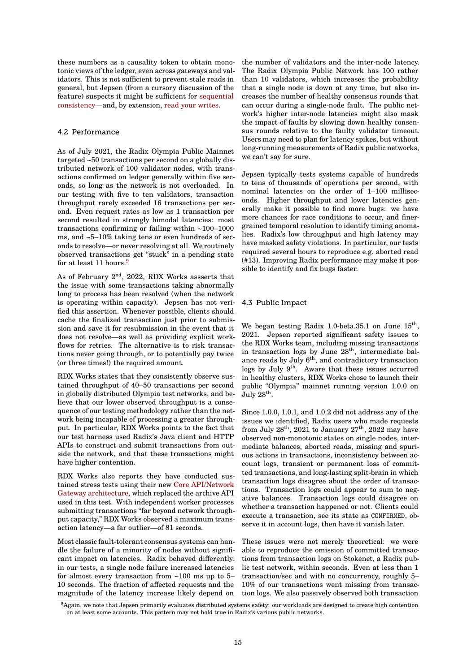these numbers as a causality token to obtain monotonic views of the ledger, even across gateways and validators. This is not sufficient to prevent stale reads in general, but Jepsen (from a cursory discussion of the feature) suspects it might be sufficient for sequential consistency—and, by extension, read your writes.

# 4.2 Performance

[As of July 2](https://jepsen.io/consistency/models/sequential)021, the Radix Oly[mpia Public Main](https://jepsen.io/consistency/models/read-your-writes)net targeted ~50 transactions per second on a globally distributed network of 100 validator nodes, with transactions confirmed on ledger generally within five seconds, so long as the network is not overloaded. In our testing with five to ten validators, transaction throughput rarely exceeded 16 transactions per second. Even request rates as low as 1 transaction per second resulted in strongly bimodal latencies: most transactions confirming or failing within ~100–1000 ms, and ~5–10% taking tens or even hundreds of seconds to resolve—or never resolving at all. We routinely observed transactions get "stuck" in a pending state for at least 11 hours.<sup>9</sup>

As of February 2nd, 2022, RDX Works assserts that the issue with some transactions taking abnormally long to process has been resolved (when the network is operating within [c](#page-14-0)apacity). Jepsen has not verified this assertion. Whenever possible, clients should cache the finalized transaction just prior to submission and save it for resubmission in the event that it does not resolve—as well as providing explicit workflows for retries. The alternative is to risk transactions never going through, or to potentially pay twice (or three times!) the required amount.

RDX Works states that they consistently observe sustained throughput of 40–50 transactions per second in globally distributed Olympia test networks, and believe that our lower observed throughput is a consequence of our testing methodology rather than the network being incapable of processing a greater throughput. In particular, RDX Works points to the fact that our test harness used Radix's Java client and HTTP APIs to construct and submit transactions from outside the network, and that these transactions might have higher contention.

RDX Works also reports they have conducted sustained stress tests using their new Core API/Network Gateway architecture, which replaced the archive API used in this test. With independent worker processes submitting transactions "far beyond network throughput capacity," RDX Works observed [a maximum trans](https://docs.radixpool.com/bleeding-edge/core-api-and-network-gateway-overview)[action latency—a far o](https://docs.radixpool.com/bleeding-edge/core-api-and-network-gateway-overview)utlier—of 81 seconds.

Most classic fault-tolerant consensus systems can handle the failure of a minority of nodes without significant impact on latencies. Radix behaved differently: in our tests, a single node failure increased latencies for almost every transaction from ~100 ms up to 5– 10 seconds. The fraction of affected requests and the magnitude of the latency increase likely depend on the number of validators and the inter-node latency. The Radix Olympia Public Network has 100 rather than 10 validators, which increases the probability that a single node is down at any time, but also increases the number of healthy consensus rounds that can occur during a single-node fault. The public network's higher inter-node latencies might also mask the impact of faults by slowing down healthy consensus rounds relative to the faulty validator timeout. Users may need to plan for latency spikes, but without long-running measurements of Radix public networks, we can't say for sure.

Jepsen typically tests systems capable of hundreds to tens of thousands of operations per second, with nominal latencies on the order of 1–100 milliseconds. Higher throughput and lower latencies generally make it possible to find more bugs: we have more chances for race conditions to occur, and finergrained temporal resolution to identify timing anomalies. Radix's low throughput and high latency may have masked safety violations. In particular, our tests required several hours to reproduce e.g. aborted read (#13). Improving Radix performance may make it possible to identify and fix bugs faster.

#### 4.3 Public Impact

We began testing Radix 1.0-beta.35.1 on June 15<sup>th</sup>, 2021. Jepsen reported significant safety issues to the RDX Works team, including missing transactions in transaction logs by June  $28<sup>th</sup>$ , intermediate balance reads by July  $6<sup>th</sup>$ , and contradictory transaction logs by July 9<sup>th</sup>. Aware that these issues occurred in healthy clusters, RDX Works chose to launch their public "Olympia" mainnet running version 1.0.0 on  $\rm{July}$   $28^{\rm{th}}.$ 

Since 1.0.0, 1.0.1, and 1.0.2 did not address any of the issues we identified, Radix users who made requests from July  $28<sup>th</sup>$ ,  $2021$  to January  $27<sup>th</sup>$ ,  $2022$  may have observed non-monotonic states on single nodes, intermediate balances, aborted reads, missing and spurious actions in transactions, inconsistency between account logs, transient or permanent loss of committed transactions, and long-lasting split-brain in which transaction logs disagree about the order of transactions. Transaction logs could appear to sum to negative balances. Transaction logs could disagree on whether a transaction happened or not. Clients could execute a transaction, see its state as CONFIRMED, observe it in account logs, then have it vanish later.

These issues were not merely theoretical: we were able to reproduce the omission of committed transactions from transaction logs on Stokenet, a Radix public test network, within seconds. Even at less than 1 transaction/sec and with no concurrency, roughly 5– 10% of our transactions went missing from transaction logs. We also passively observed both transaction

<span id="page-14-0"></span><sup>9</sup>Again, we note that Jepsen primarily evaluates distributed systems safety: our workloads are designed to create high contention on at least some accounts. This pattern may not hold true in Radix's various public networks.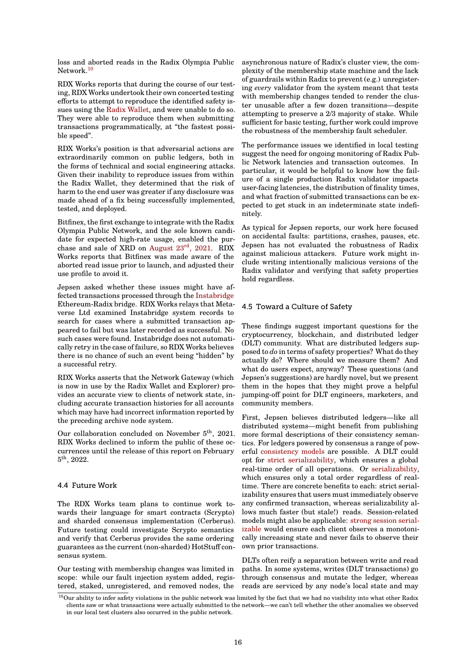loss and aborted reads in the Radix Olympia Public Network.<sup>10</sup>

RDX Works reports that during the course of our testing, RDX Works undertook their own concerted testing efforts to attempt to reproduce the identified safety issues usi[ng](#page-15-0) the Radix Wallet, and were unable to do so. They were able to reproduce them when submitting transactions programmatically, at "the fastest possible speed".

RDX Works's [position is tha](https://wallet.radixdlt.com/)t adversarial actions are extraordinarily common on public ledgers, both in the forms of technical and social engineering attacks. Given their inability to reproduce issues from within the Radix Wallet, they determined that the risk of harm to the end user was greater if any disclosure was made ahead of a fix being successfully implemented, tested, and deployed.

Bitfinex, the first exchange to integrate with the Radix Olympia Public Network, and the sole known candidate for expected high-rate usage, enabled the purchase and sale of XRD on August 23rd, 2021. RDX Works reports that Bitfinex was made aware of the aborted read issue prior to launch, and adjusted their use profile to avoid it.

Jepsen asked whether the[se issues might h](https://www.bitfinex.com/posts/688)ave affected transactions processed through the Instabridge Ethereum-Radix bridge. RDX Works relays that Metaverse Ltd examined Instabridge system records to search for cases where a submitted transaction appeared to fail but was later recorded as successful. No such cases were found. Instabridge does n[ot automati](https://www.instabridge.io/)cally retry in the case of failure, so RDX Works believes there is no chance of such an event being "hidden" by a successful retry.

RDX Works asserts that the Network Gateway (which is now in use by the Radix Wallet and Explorer) provides an accurate view to clients of network state, including accurate transaction histories for all accounts which may have had incorrect information reported by the preceding archive node system.

Our collaboration concluded on November 5<sup>th</sup>, 2021. RDX Works declined to inform the public of these occurrences until the release of this report on February  $5^{\rm th}, 2022.$ 

#### 4.4 Future Work

The RDX Works team plans to continue work towards their language for smart contracts (Scrypto) and sharded consensus implementation (Cerberus). Future testing could investigate Scrypto semantics and verify that Cerberus provides the same ordering guarantees as the current (non-sharded) HotStuff consensus system.

Our testing with membership changes was limited in scope: while our fault injection system added, registered, staked, unregistered, and removed nodes, the

asynchronous nature of Radix's cluster view, the complexity of the membership state machine and the lack of guardrails within Radix to prevent (e.g.) unregistering *every* validator from the system meant that tests with membership changes tended to render the cluster unusable after a few dozen transitions—despite attempting to preserve a 2/3 majority of stake. While sufficient for basic testing, further work could improve the robustness of the membership fault scheduler.

The performance issues we identified in local testing suggest the need for ongoing monitoring of Radix Public Network latencies and transaction outcomes. In particular, it would be helpful to know how the failure of a single production Radix validator impacts user-facing latencies, the distribution of finality times, and what fraction of submitted transactions can be expected to get stuck in an indeterminate state indefinitely.

As typical for Jepsen reports, our work here focused on accidental faults: partitions, crashes, pauses, etc. Jepsen has not evaluated the robustness of Radix against malicious attackers. Future work might include writing intentionally malicious versions of the Radix validator and verifying that safety properties hold regardless.

# 4.5 Toward a Culture of Safety

These findings suggest important questions for the cryptocurrency, blockchain, and distributed ledger (DLT) community. What are distributed ledgers supposed to *do* in terms of safety properties? What do they actually do? Where should we measure them? And what do users expect, anyway? These questions (and Jepsen's suggestions) are hardly novel, but we present them in the hopes that they might prove a helpful jumping-off point for DLT engineers, marketers, and community members.

First, Jepsen believes distributed ledgers—like all distributed systems—might benefit from publishing more formal descriptions of their consistency semantics. For ledgers powered by consensus a range of powerful consistency models are possible. A DLT could opt for strict serializability, which ensures a global real-time order of all operations. Or serializability, which ensures only a total order regardless of realtime. There are concrete benefits to each: strict serializabil[ity ensures that user](https://jepsen.io/consistency)s must immediately observe any con[firmed transaction, w](https://jepsen.io/consistency/models/strict-serializable)hereas serializability allows much faster (but stale!) reads. [Session-related](https://jepsen.io/consistency/models/serializable) models might also be applicable: strong session serializable would ensure each client observes a monotonically increasing state and never fails to observe their own prior transactions.

DLTs often reify a separation be[tween write and read](https://cs.uwaterloo.ca/~kmsalem/pubs/DaudjeeICDE04.pdf) [paths.](https://cs.uwaterloo.ca/~kmsalem/pubs/DaudjeeICDE04.pdf) In some systems, writes (DLT transactions) go through consensus and mutate the ledger, whereas reads are serviced by any node's local state and may

<span id="page-15-0"></span> $^{10}$ Our ability to infer safety violations in the public network was limited by the fact that we had no visibility into what other Radix clients saw or what transactions were actually submitted to the network—we can't tell whether the other anomalies we observed in our local test clusters also occurred in the public network.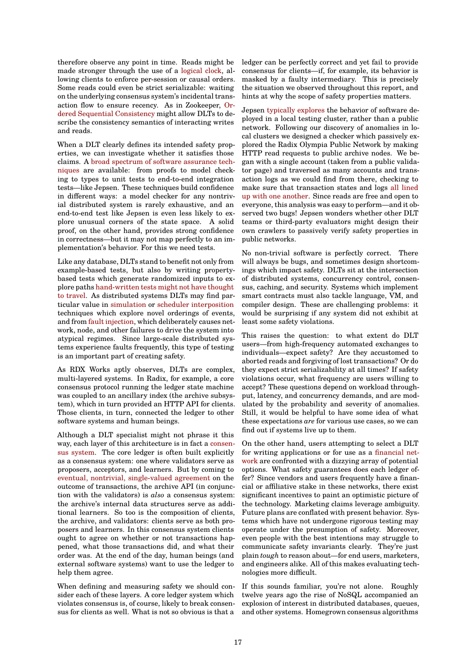therefore observe any point in time. Reads might be made stronger through the use of a logical clock, allowing clients to enforce per-session or causal orders. Some reads could even be strict serializable: waiting on the underlying consensus system's incidental transaction flow to ensure recency. As in Zookeeper, Ordered Sequential Consistency might [allow DLTs to](https://en.wikipedia.org/wiki/Logical_clock) describe the consistency semantics of interacting writes and reads.

When a DLT clearly defines its intended safety p[rop](https://iditkeidar.com/wp-content/uploads/files/ftp/KfirLevAriPhDThesis.pdf)[erties, we can investigate wh](https://iditkeidar.com/wp-content/uploads/files/ftp/KfirLevAriPhDThesis.pdf)ether it satisfies those claims. A broad spectrum of software assurance techniques are available: from proofs to model checking to types to unit tests to end-to-end integration tests—like Jepsen. These techniques build confidence in different ways: a model checker for any nontrivial distri[buted system is rarely exhaustive, and an](https://queue.acm.org/detail.cfm?id=2889274) [end-to-](https://queue.acm.org/detail.cfm?id=2889274)end test like Jepsen is even less likely to explore unusual corners of the state space. A solid proof, on the other hand, provides strong confidence in correctness—but it may not map perfectly to an implementation's behavior. For this we need tests.

Like any database, DLTs stand to benefit not only from example-based tests, but also by writing propertybased tests which generate randomized inputs to explore paths hand-written tests might not have thought to travel. As distributed systems DLTs may find particular value in simulation or scheduler interposition techniques which explore novel orderings of events, and from fault injection, which deliberately causes network, node, [and other failures to drive the system into](https://blog.acolyer.org/2018/01/23/why-is-random-testing-effective-for-partition-tolerance-bugs/) [atypical](https://blog.acolyer.org/2018/01/23/why-is-random-testing-effective-for-partition-tolerance-bugs/) regimes. Since large-scale distributed systems experienc[e faults freq](http://alex-ii.github.io/notes/2018/04/29/distributed_systems_with_deterministic_simulation.html)ue[ntly, this type of testing](https://people.eecs.berkeley.edu/~apanda/assets/papers/nsdi16.pdf) is an im[portant part of](https://www.gremlin.com/blog/what-is-fault-injection/) creating safety.

As RDX Works aptly observes, DLTs are complex, multi-layered systems. In Radix, for example, a core consensus protocol running the ledger state machine was coupled to an ancillary index (the archive subsystem), which in turn provided an HTTP API for clients. Those clients, in turn, connected the ledger to other software systems and human beings.

Although a DLT specialist might not phrase it this way, each layer of this architecture is in fact a consensus system. The core ledger is often built explicitly as a consensus system: one where validators serve as proposers, acceptors, and learners. But by coming to eventual, nontrivial, single-valued agreement on the outcome of transactions, the archive API (in [conjunc](https://people.cs.rutgers.edu/~pxk/417/notes/content/consensus.html)[tion with th](https://people.cs.rutgers.edu/~pxk/417/notes/content/consensus.html)e validators) is *also* a consensus system: the archive's internal data structures serve as additional learners. So too is the composition of clients, [the archive, and validators: clients serve as bo](https://lamport.azurewebsites.net/pubs/consensus-bounds.pdf)th proposers and learners. In this consensus system clients ought to agree on whether or not transactions happened, what those transactions did, and what their order was. At the end of the day, human beings (and external software systems) want to use the ledger to help them agree.

When defining and measuring safety we should consider each of these layers. A core ledger system which violates consensus is, of course, likely to break consensus for clients as well. What is not so obvious is that a ledger can be perfectly correct and yet fail to provide consensus for clients—if, for example, its behavior is masked by a faulty intermediary. This is precisely the situation we observed throughout this report, and hints at why the scope of safety properties matters.

Jepsen typically explores the behavior of software deployed in a local testing cluster, rather than a public network. Following our discovery of anomalies in local clusters we designed a checker which passively explored the Radix Olympia Public Network by making HTTP [read requests to p](https://jepsen.io/analyses)ublic archive nodes. We began with a single account (taken from a public validator page) and traversed as many accounts and transaction logs as we could find from there, checking to make sure that transaction states and logs all lined up with one another. Since reads are free and open to everyone, this analysis was easy to perform—and it observed two bugs! Jepsen wonders whether other DLT teams or third-party evaluators might design their own crawlers to passively verify safety prop[erties in](https://github.com/jepsen-io/radix-dlt/blob/e599477376ea4b8a6b0c86368d28dc4efb447b8f/src/jepsen/radix_dlt/pubcheck.clj) [public networks.](https://github.com/jepsen-io/radix-dlt/blob/e599477376ea4b8a6b0c86368d28dc4efb447b8f/src/jepsen/radix_dlt/pubcheck.clj)

No non-trivial software is perfectly correct. There will always be bugs, and sometimes design shortcomings which impact safety. DLTs sit at the intersection of distributed systems, concurrency control, consensus, caching, and security. Systems which implement smart contracts must also tackle language, VM, and compiler design. These are challenging problems: it would be surprising if any system did not exhibit at least some safety violations.

This raises the question: to what extent do DLT users—from high-frequency automated exchanges to individuals—expect safety? Are they accustomed to aborted reads and forgiving of lost transactions? Or do they expect strict serializability at all times? If safety violations occur, what frequency are users willing to accept? These questions depend on workload throughput, latency, and concurrency demands, and are modulated by the probability and severity of anomalies. Still, it would be helpful to have some idea of what these expectations *are* for various use cases, so we can find out if systems live up to them.

On the other hand, users attempting to select a DLT for writing applications or for use as a financial network are confronted with a dizzying array of potential options. What safety guarantees does each ledger offer? Since vendors and users frequently have a financial or affiliative stake in these networks, there exist significant incentives to paint an optimi[stic picture of](https://www.radixdlt.com/#use-caseshttps://www.radixdlt.com/) [the te](https://www.radixdlt.com/#use-caseshttps://www.radixdlt.com/)chnology. Marketing claims leverage ambiguity. Future plans are conflated with present behavior. Systems which have not undergone rigorous testing may operate under the presumption of safety. Moreover, even people with the best intentions may struggle to communicate safety invariants clearly. They're just plain *tough* to reason about—for end users, marketers, and engineers alike. All of this makes evaluating technologies more difficult.

If this sounds familiar, you're not alone. Roughly twelve years ago the rise of NoSQL accompanied an explosion of interest in distributed databases, queues, and other systems. Homegrown consensus algorithms